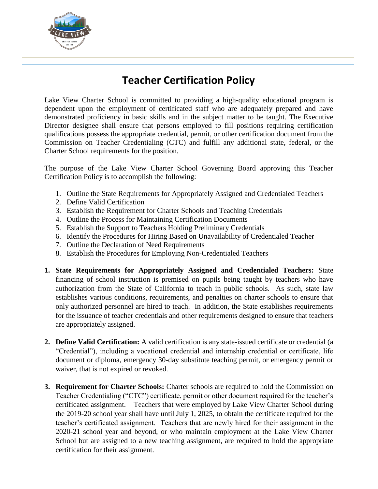

## **Teacher Certification Policy**

Lake View Charter School is committed to providing a high-quality educational program is dependent upon the employment of certificated staff who are adequately prepared and have demonstrated proficiency in basic skills and in the subject matter to be taught. The Executive Director designee shall ensure that persons employed to fill positions requiring certification qualifications possess the appropriate credential, permit, or other certification document from the Commission on Teacher Credentialing (CTC) and fulfill any additional state, federal, or the Charter School requirements for the position.

The purpose of the Lake View Charter School Governing Board approving this Teacher Certification Policy is to accomplish the following:

- 1. Outline the State Requirements for Appropriately Assigned and Credentialed Teachers
- 2. Define Valid Certification
- 3. Establish the Requirement for Charter Schools and Teaching Credentials
- 4. Outline the Process for Maintaining Certification Documents
- 5. Establish the Support to Teachers Holding Preliminary Credentials
- 6. Identify the Procedures for Hiring Based on Unavailability of Credentialed Teacher
- 7. Outline the Declaration of Need Requirements
- 8. Establish the Procedures for Employing Non-Credentialed Teachers
- **1. State Requirements for Appropriately Assigned and Credentialed Teachers:** State financing of school instruction is premised on pupils being taught by teachers who have authorization from the State of California to teach in public schools. As such, state law establishes various conditions, requirements, and penalties on charter schools to ensure that only authorized personnel are hired to teach. In addition, the State establishes requirements for the issuance of teacher credentials and other requirements designed to ensure that teachers are appropriately assigned.
- **2. Define Valid Certification:** A valid certification is any state-issued certificate or credential (a "Credential"), including a vocational credential and internship credential or certificate, life document or diploma, emergency 30-day substitute teaching permit, or emergency permit or waiver, that is not expired or revoked.
- **3. Requirement for Charter Schools:** Charter schools are required to hold the Commission on Teacher Credentialing ("CTC") certificate, permit or other document required for the teacher's certificated assignment. Teachers that were employed by Lake View Charter School during the 2019-20 school year shall have until July 1, 2025, to obtain the certificate required for the teacher's certificated assignment. Teachers that are newly hired for their assignment in the 2020-21 school year and beyond, or who maintain employment at the Lake View Charter School but are assigned to a new teaching assignment, are required to hold the appropriate certification for their assignment.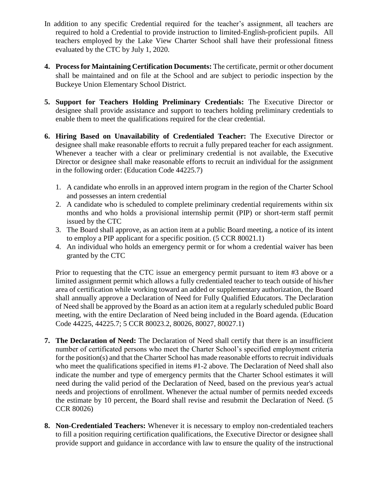- In addition to any specific Credential required for the teacher's assignment, all teachers are required to hold a Credential to provide instruction to limited-English-proficient pupils. All teachers employed by the Lake View Charter School shall have their professional fitness evaluated by the CTC by July 1, 2020.
- **4. Process for Maintaining Certification Documents:** The certificate, permit or other document shall be maintained and on file at the School and are subject to periodic inspection by the Buckeye Union Elementary School District.
- **5. Support for Teachers Holding Preliminary Credentials:** The Executive Director or designee shall provide assistance and support to teachers holding preliminary credentials to enable them to meet the qualifications required for the clear credential.
- **6. Hiring Based on Unavailability of Credentialed Teacher:** The Executive Director or designee shall make reasonable efforts to recruit a fully prepared teacher for each assignment. Whenever a teacher with a clear or preliminary credential is not available, the Executive Director or designee shall make reasonable efforts to recruit an individual for the assignment in the following order: (Education Code 44225.7)
	- 1. A candidate who enrolls in an approved intern program in the region of the Charter School and possesses an intern credential
	- 2. A candidate who is scheduled to complete preliminary credential requirements within six months and who holds a provisional internship permit (PIP) or short-term staff permit issued by the CTC
	- 3. The Board shall approve, as an action item at a public Board meeting, a notice of its intent to employ a PIP applicant for a specific position. (5 CCR 80021.1)
	- 4. An individual who holds an emergency permit or for whom a credential waiver has been granted by the CTC

Prior to requesting that the CTC issue an emergency permit pursuant to item #3 above or a limited assignment permit which allows a fully credentialed teacher to teach outside of his/her area of certification while working toward an added or supplementary authorization, the Board shall annually approve a Declaration of Need for Fully Qualified Educators. The Declaration of Need shall be approved by the Board as an action item at a regularly scheduled public Board meeting, with the entire Declaration of Need being included in the Board agenda. (Education Code 44225, 44225.7; 5 CCR 80023.2, 80026, 80027, 80027.1)

- **7. The Declaration of Need:** The Declaration of Need shall certify that there is an insufficient number of certificated persons who meet the Charter School's specified employment criteria for the position(s) and that the Charter School has made reasonable efforts to recruit individuals who meet the qualifications specified in items #1-2 above. The Declaration of Need shall also indicate the number and type of emergency permits that the Charter School estimates it will need during the valid period of the Declaration of Need, based on the previous year's actual needs and projections of enrollment. Whenever the actual number of permits needed exceeds the estimate by 10 percent, the Board shall revise and resubmit the Declaration of Need. (5 CCR 80026)
- **8. Non-Credentialed Teachers:** Whenever it is necessary to employ non-credentialed teachers to fill a position requiring certification qualifications, the Executive Director or designee shall provide support and guidance in accordance with law to ensure the quality of the instructional